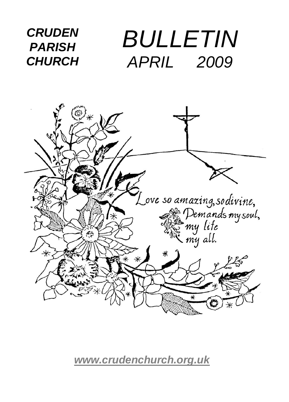

*[www.crudenchurch.org.uk](http://www.crudenchurch.org.uk/)*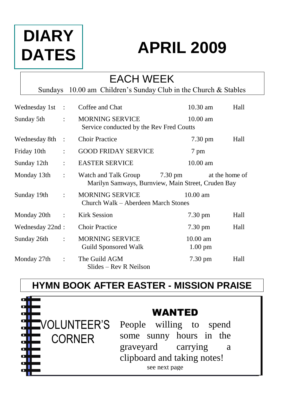# **DIARY DATES**

# **APRIL 2009**

### EACH WEEK Sundays 10.00 am Children's Sunday Club in the Church & Stables Wednesday 1st : Coffee and Chat 10.30 am Hall Sunday 5th : MORNING SERVICE 10.00 am Service conducted by the Rev Fred Coutts Wednesday 8th : Choir Practice 7.30 pm Hall Friday 10th : GOOD FRIDAY SERVICE 7 pm Sunday 12th : EASTER SERVICE 10.00 am Monday 13th : Watch and Talk Group 7.30 pm at the home of Marilyn Samways, Burnview, Main Street, Cruden Bay Sunday 19th : MORNING SERVICE 10.00 am Church Walk – Aberdeen March Stones Monday 20th : Kirk Session 7.30 pm Hall Wednesday 22nd : Choir Practice 7.30 pm Hall Sunday 26th : MORNING SERVICE 10.00 am Guild Sponsored Walk 1.00 pm Monday 27th : The Guild AGM 7.30 pm Hall Slides – Rev R Neilson

## **HYMN BOOK AFTER EASTER - MISSION PRAISE**



## WANTED

People willing to spend some sunny hours in the graveyard carrying a clipboard and taking notes! see next page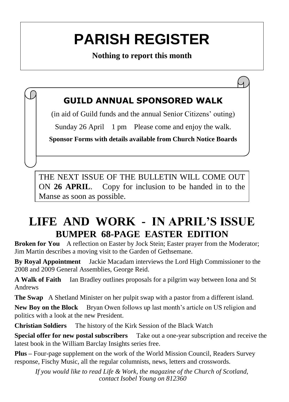# **PARISH REGISTER**

**Nothing to report this month**

### **GUILD ANNUAL SPONSORED WALK**

(in aid of Guild funds and the annual Senior Citizens' outing)

Sunday 26 April 1 pm Please come and enjoy the walk.

**Sponsor Forms with details available from Church Notice Boards**

THE NEXT ISSUE OF THE BULLETIN WILL COME OUT ON **26 APRIL**. Copy for inclusion to be handed in to the Manse as soon as possible.

## **LIFE AND WORK - IN APRIL'S ISSUE BUMPER 68-PAGE EASTER EDITION**

**Broken for You** A reflection on Easter by Jock Stein: Easter prayer from the Moderator: Jim Martin describes a moving visit to the Garden of Gethsemane.

**By Royal Appointment** Jackie Macadam interviews the Lord High Commissioner to the 2008 and 2009 General Assemblies, George Reid.

**A Walk of Faith** Ian Bradley outlines proposals for a pilgrim way between Iona and St Andrews

**The Swap** A Shetland Minister on her pulpit swap with a pastor from a different island.

**New Boy on the Block** Bryan Owen follows up last month's article on US religion and politics with a look at the new President.

**Christian Soldiers** The history of the Kirk Session of the Black Watch

**Special offer for new postal subscribers** Take out a one-year subscription and receive the latest book in the William Barclay Insights series free.

**Plus –** Four-page supplement on the work of the World Mission Council, Readers Survey response, Fischy Music, all the regular columnists, news, letters and crosswords.

*If you would like to read Life & Work, the magazine of the Church of Scotland, contact Isobel Young on 812360*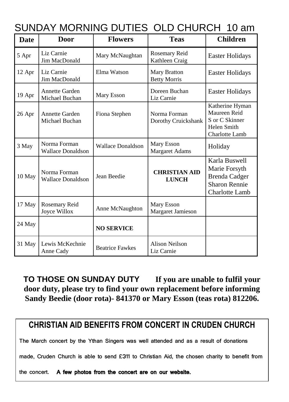| Date   | Door                                     | <b>Flowers</b>           | <b>Teas</b>                                | <b>Children</b>                                                                                  |
|--------|------------------------------------------|--------------------------|--------------------------------------------|--------------------------------------------------------------------------------------------------|
| 5 Apr  | Liz Carnie<br>Jim MacDonald              | Mary McNaughtan          | Rosemary Reid<br>Kathleen Craig            | Easter Holidays                                                                                  |
| 12 Apr | Liz Carnie<br>Jim MacDonald              | Elma Watson              | <b>Mary Bratton</b><br><b>Betty Morris</b> | <b>Easter Holidays</b>                                                                           |
| 19 Apr | <b>Annette Garden</b><br>Michael Buchan  | Mary Esson               | Doreen Buchan<br>Liz Carnie                | Easter Holidays                                                                                  |
| 26 Apr | <b>Annette Garden</b><br>Michael Buchan  | Fiona Stephen            | Norma Forman<br>Dorothy Cruickshank        | Katherine Hyman<br>Maureen Reid<br>S or C Skinner<br>Helen Smith<br>Charlotte Lamb               |
| 3 May  | Norma Forman<br><b>Wallace Donaldson</b> | <b>Wallace Donaldson</b> | Mary Esson<br><b>Margaret Adams</b>        | Holiday                                                                                          |
| 10 May | Norma Forman<br><b>Wallace Donaldson</b> | Jean Beedie              | <b>CHRISTIAN AID</b><br><b>LUNCH</b>       | Karla Buswell<br>Marie Forsyth<br><b>Brenda Cadger</b><br><b>Sharon Rennie</b><br>Charlotte Lamb |
| 17 May | Rosemary Reid<br>Joyce Willox            | Anne McNaughton          | Mary Esson<br>Margaret Jamieson            |                                                                                                  |
| 24 May |                                          | <b>NO SERVICE</b>        |                                            |                                                                                                  |
| 31 May | Lewis McKechnie<br>Anne Cady             | <b>Beatrice Fawkes</b>   | Alison Neilson<br>Liz Carnie               |                                                                                                  |

**TO THOSE ON SUNDAY DUTY If you are unable to fulfil your door duty, please try to find your own replacement before informing Sandy Beedie (door rota)- 841370 or Mary Esson (teas rota) 812206.**

#### **CHRISTIAN AID BENEFITS FROM CONCERT IN CRUDEN CHURCH**

The March concert by the Ythan Singers was well attended and as a result of donations

made, Cruden Church is able to send £311 to Christian Aid, the chosen charity to benefit from

the concert. A few photos from the concert are on our website.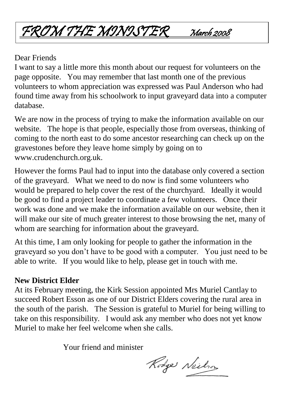# FROM THE MINISTER March 2008

#### Dear Friends

I want to say a little more this month about our request for volunteers on the page opposite. You may remember that last month one of the previous volunteers to whom appreciation was expressed was Paul Anderson who had found time away from his schoolwork to input graveyard data into a computer database.

We are now in the process of trying to make the information available on our website. The hope is that people, especially those from overseas, thinking of coming to the north east to do some ancestor researching can check up on the gravestones before they leave home simply by going on to www.crudenchurch.org.uk.

However the forms Paul had to input into the database only covered a section of the graveyard. What we need to do now is find some volunteers who would be prepared to help cover the rest of the churchyard. Ideally it would be good to find a project leader to coordinate a few volunteers. Once their work was done and we make the information available on our website, then it will make our site of much greater interest to those browsing the net, many of whom are searching for information about the graveyard.

At this time, I am only looking for people to gather the information in the graveyard so you don't have to be good with a computer. You just need to be able to write. If you would like to help, please get in touch with me.

#### **New District Elder**

At its February meeting, the Kirk Session appointed Mrs Muriel Cantlay to succeed Robert Esson as one of our District Elders covering the rural area in the south of the parish. The Session is grateful to Muriel for being willing to take on this responsibility. I would ask any member who does not yet know Muriel to make her feel welcome when she calls.

Your friend and minister

Rodge Neilson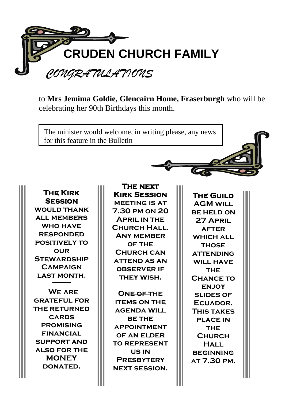

to **Mrs Jemima Goldie, Glencairn Home, Fraserburgh** who will be celebrating her 90th Birthdays this month.

The minister would welcome, in writing please, any news for this feature in the Bulletin

**The Kirk Session WOULD THANK all members who have responded positively to our Stewardship Campaign last month.** 

 **We are grateful for the returned cards promising financial support and also for the MONEY donated.**

**The next Kirk Session meeting is at 7.30 pm on 20 April in the Church Hall. Any member of the Church can attend as an observer if they wish.** 

**One of the items on the agenda will be the appointment OF AN FLDER to represent us in Presbytery next session.**

**The Guild AGM will be held on 27 April after WHICH ALL those attending WILL HAVE THE Chance to enjoy slides of Ecuador. This takes place in THE Church Hall beginning at 7.30 pm.**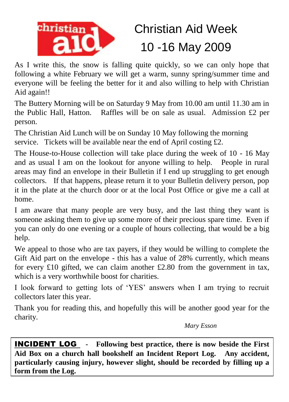

# Christian Aid Week 10 -16 May 2009

As I write this, the snow is falling quite quickly, so we can only hope that following a white February we will get a warm, sunny spring/summer time and everyone will be feeling the better for it and also willing to help with Christian Aid again!!

The Buttery Morning will be on Saturday 9 May from 10.00 am until 11.30 am in the Public Hall, Hatton. Raffles will be on sale as usual. Admission £2 per person.

The Christian Aid Lunch will be on Sunday 10 May following the morning service. Tickets will be available near the end of April costing £2.

The House-to-House collection will take place during the week of 10 - 16 May and as usual I am on the lookout for anyone willing to help. People in rural areas may find an envelope in their Bulletin if I end up struggling to get enough collectors. If that happens, please return it to your Bulletin delivery person, pop it in the plate at the church door or at the local Post Office or give me a call at home.

I am aware that many people are very busy, and the last thing they want is someone asking them to give up some more of their precious spare time. Even if you can only do one evening or a couple of hours collecting, that would be a big help.

We appeal to those who are tax payers, if they would be willing to complete the Gift Aid part on the envelope - this has a value of 28% currently, which means for every £10 gifted, we can claim another £2.80 from the government in tax, which is a very worthwhile boost for charities.

I look forward to getting lots of 'YES' answers when I am trying to recruit collectors later this year.

Thank you for reading this, and hopefully this will be another good year for the charity.

*Mary Esson*

INCIDENT LOG **- Following best practice, there is now beside the First Aid Box on a church hall bookshelf an Incident Report Log. Any accident, particularly causing injury, however slight, should be recorded by filling up a form from the Log.**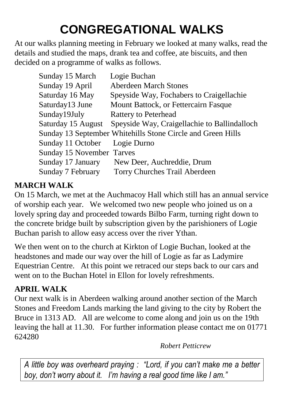# **CONGREGATIONAL WALKS**

At our walks planning meeting in February we looked at many walks, read the details and studied the maps, drank tea and coffee, ate biscuits, and then decided on a programme of walks as follows.

| Sunday 15 March                  | Logie Buchan                                                    |
|----------------------------------|-----------------------------------------------------------------|
| Sunday 19 April                  | <b>Aberdeen March Stones</b>                                    |
| Saturday 16 May                  | Speyside Way, Fochabers to Craigellachie                        |
| Saturday13 June                  | Mount Battock, or Fettercairn Fasque                            |
| Sunday19July                     | Rattery to Peterhead                                            |
|                                  | Saturday 15 August Speyside Way, Craigellachie to Ballindalloch |
|                                  | Sunday 13 September Whitehills Stone Circle and Green Hills     |
| Sunday 11 October                | Logie Durno                                                     |
| <b>Sunday 15 November Tarves</b> |                                                                 |
| Sunday 17 January                | New Deer, Auchreddie, Drum                                      |
| Sunday 7 February                | Torry Churches Trail Aberdeen                                   |

#### **MARCH WALK**

On 15 March, we met at the Auchmacoy Hall which still has an annual service of worship each year. We welcomed two new people who joined us on a lovely spring day and proceeded towards Bilbo Farm, turning right down to the concrete bridge built by subscription given by the parishioners of Logie Buchan parish to allow easy access over the river Ythan.

We then went on to the church at Kirkton of Logie Buchan, looked at the headstones and made our way over the hill of Logie as far as Ladymire Equestrian Centre. At this point we retraced our steps back to our cars and went on to the Buchan Hotel in Ellon for lovely refreshments.

#### **APRIL WALK**

Our next walk is in Aberdeen walking around another section of the March Stones and Freedom Lands marking the land giving to the city by Robert the Bruce in 1313 AD. All are welcome to come along and join us on the 19th leaving the hall at 11.30. For further information please contact me on 01771 624280

*Robert Petticrew*

*A little boy was overheard praying : "Lord, if you can't make me a better boy, don't worry about it. I'm having a real good time like I am."*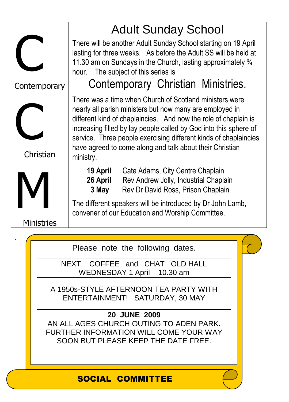

NEXT COFFEE and CHAT OLD HALL WEDNESDAY 1 April 10.30 am

A 1950s-STYLE AFTERNOON TEA PARTY WITH ENTERTAINMENT! SATURDAY, 30 MAY

**20 JUNE 2009** AN ALL AGES CHURCH OUTING TO ADEN PARK. FURTHER INFORMATION WILL COME YOUR WAY SOON BUT PLEASE KEEP THE DATE FREE.

#### SOCIAL COMMITTEE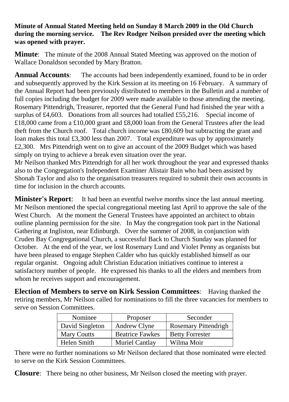#### **Minute of Annual Stated Meeting held on Sunday 8 March 2009 in the Old Church during the morning service. The Rev Rodger Neilson presided over the meeting which was opened with prayer.**

**Minute**: The minute of the 2008 Annual Stated Meeting was approved on the motion of Wallace Donaldson seconded by Mary Bratton.

**Annual Accounts:** The accounts had been independently examined, found to be in order and subsequently approved by the Kirk Session at its meeting on 16 February. A summary of the Annual Report had been previously distributed to members in the Bulletin and a number of full copies including the budget for 2009 were made available to those attending the meeting. Rosemary Pittendrigh, Treasurer, reported that the General Fund had finished the year with a surplus of £4,603. Donations from all sources had totalled £55,216. Special income of £18,000 came from a £10,000 grant and £8,000 loan from the General Trustees after the lead theft from the Church roof. Total church income was £80,609 but subtracting the grant and loan makes this total £3,300 less than 2007. Total expenditure was up by approximately £2,300. Mrs Pittendrigh went on to give an account of the 2009 Budget which was based simply on trying to achieve a break even situation over the year.

Mr Neilson thanked Mrs Pittendrigh for all her work throughout the year and expressed thanks also to the Congregation's Independent Examiner Alistair Bain who had been assisted by Shonah Taylor and also to the organisation treasurers required to submit their own accounts in time for inclusion in the church accounts.

**Minister's Report:** It had been an eventful twelve months since the last annual meeting. Mr Neilson mentioned the special congregational meeting last April to approve the sale of the West Church. At the moment the General Trustees have appointed an architect to obtain outline planning permission for the site. In May the congregation took part in the National Gathering at Ingliston, near Edinburgh. Over the summer of 2008, in conjunction with Cruden Bay Congregational Church, a successful Back to Church Sunday was planned for October. At the end of the year, we lost Rosemary Lund and Violet Penny as organists but have been pleased to engage Stephen Calder who has quickly established himself as our regular organist. Ongoing adult Christian Education initiatives continue to interest a satisfactory number of people. He expressed his thanks to all the elders and members from whom he receives support and encouragement.

**Election of Members to serve on Kirk Session Committees**: Having thanked the retiring members, Mr Neilson called for nominations to fill the three vacancies for members to serve on Session Committees.

| Nominee            | Proposer               | Seconder               |
|--------------------|------------------------|------------------------|
| David Singleton    | Andrew Clyne           | Rosemary Pittendrigh   |
| <b>Mary Coutts</b> | <b>Beatrice Fawkes</b> | <b>Betty Forrester</b> |
| Helen Smith        | Muriel Cantlay         | Wilma Moir             |

There were no further nominations so Mr Neilson declared that those nominated were elected to serve on the Kirk Session Committees.

**Closure**: There being no other business, Mr Neilson closed the meeting with prayer.